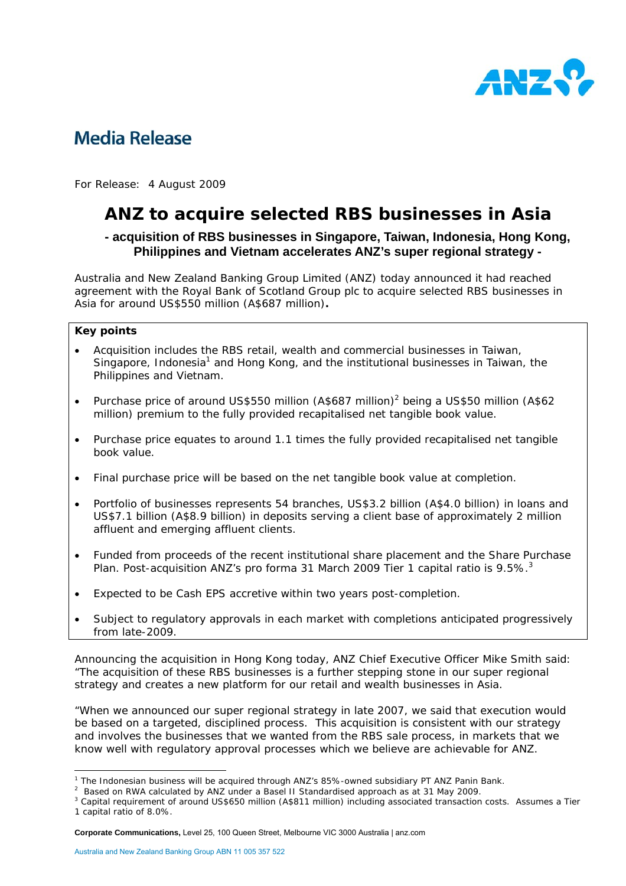

# **Media Release**

For Release: 4 August 2009

# **ANZ to acquire selected RBS businesses in Asia**

# **- acquisition of RBS businesses in Singapore, Taiwan, Indonesia, Hong Kong, Philippines and Vietnam accelerates ANZ's super regional strategy -**

Australia and New Zealand Banking Group Limited (ANZ) today announced it had reached agreement with the Royal Bank of Scotland Group plc to acquire selected RBS businesses in Asia for around US\$550 million (A\$687 million)**.** 

## **Key points**

- Acquisition includes the RBS retail, wealth and commercial businesses in Taiwan, Singapore, Indonesia<sup>1</sup> and Hong Kong, and the institutional businesses in Taiwan, the Philippines and Vietnam.
- Purchase price of around US\$550 million (A\$687 million)<sup>2</sup> being a US\$50 million (A\$62 million) premium to the fully provided recapitalised net tangible book value.
- Purchase price equates to around 1.1 times the fully provided recapitalised net tangible book value.
- Final purchase price will be based on the net tangible book value at completion.
- Portfolio of businesses represents 54 branches, US\$3.2 billion (A\$4.0 billion) in loans and US\$7.1 billion (A\$8.9 billion) in deposits serving a client base of approximately 2 million affluent and emerging affluent clients.
- Funded from proceeds of the recent institutional share placement and the Share Purchase Plan. Post-acquisition ANZ's pro forma 31 March 2009 Tier 1 capital ratio is 9.5%.<sup>3</sup>
- Expected to be Cash EPS accretive within two years post-completion.
- Subject to regulatory approvals in each market with completions anticipated progressively from late-2009.

Announcing the acquisition in Hong Kong today, ANZ Chief Executive Officer Mike Smith said: "The acquisition of these RBS businesses is a further stepping stone in our super regional strategy and creates a new platform for our retail and wealth businesses in Asia.

"When we announced our super regional strategy in late 2007, we said that execution would be based on a targeted, disciplined process. This acquisition is consistent with our strategy and involves the businesses that we wanted from the RBS sale process, in markets that we know well with regulatory approval processes which we believe are achievable for ANZ.

 <sup>1</sup> The Indonesian business will be acquired through ANZ's 85%-owned subsidiary PT ANZ Panin Bank.

 $^{\text{1}}$  The Indonesian business will be acquired through ANZ's 85%-owned subsidiary PT ANZ Panin Bank.<br><sup>2</sup> Based on RWA calculated by ANZ under a Basel II Standardised approach as at 31 May 2009.

<sup>&</sup>lt;sup>3</sup> Capital requirement of around US\$650 million (A\$811 million) including associated transaction costs. Assumes a Tier 1 capital ratio of 8.0%.

**Corporate Communications,** Level 25, 100 Queen Street, Melbourne VIC 3000 Australia | anz.com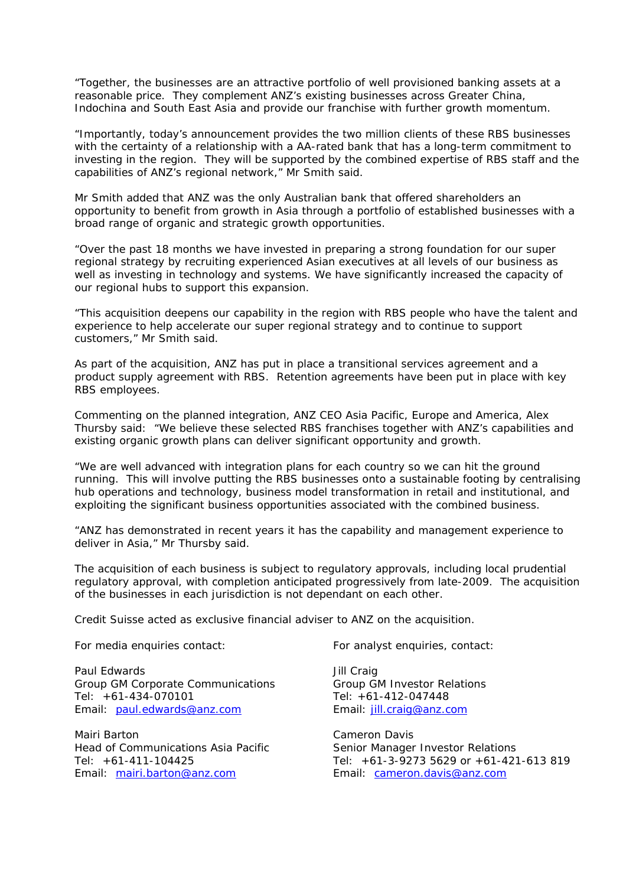"Together, the businesses are an attractive portfolio of well provisioned banking assets at a reasonable price. They complement ANZ's existing businesses across Greater China, Indochina and South East Asia and provide our franchise with further growth momentum.

"Importantly, today's announcement provides the two million clients of these RBS businesses with the certainty of a relationship with a AA-rated bank that has a long-term commitment to investing in the region. They will be supported by the combined expertise of RBS staff and the capabilities of ANZ's regional network," Mr Smith said.

Mr Smith added that ANZ was the only Australian bank that offered shareholders an opportunity to benefit from growth in Asia through a portfolio of established businesses with a broad range of organic and strategic growth opportunities.

"Over the past 18 months we have invested in preparing a strong foundation for our super regional strategy by recruiting experienced Asian executives at all levels of our business as well as investing in technology and systems. We have significantly increased the capacity of our regional hubs to support this expansion.

"This acquisition deepens our capability in the region with RBS people who have the talent and experience to help accelerate our super regional strategy and to continue to support customers," Mr Smith said.

As part of the acquisition, ANZ has put in place a transitional services agreement and a product supply agreement with RBS. Retention agreements have been put in place with key RBS employees.

Commenting on the planned integration, ANZ CEO Asia Pacific, Europe and America, Alex Thursby said: "We believe these selected RBS franchises together with ANZ's capabilities and existing organic growth plans can deliver significant opportunity and growth.

"We are well advanced with integration plans for each country so we can hit the ground running. This will involve putting the RBS businesses onto a sustainable footing by centralising hub operations and technology, business model transformation in retail and institutional, and exploiting the significant business opportunities associated with the combined business.

"ANZ has demonstrated in recent years it has the capability and management experience to deliver in Asia," Mr Thursby said.

The acquisition of each business is subject to regulatory approvals, including local prudential regulatory approval, with completion anticipated progressively from late-2009. The acquisition of the businesses in each jurisdiction is not dependant on each other.

Credit Suisse acted as exclusive financial adviser to ANZ on the acquisition.

For media enquiries contact:

Paul Edwards Group GM Corporate Communications Tel: +61-434-070101 Email: paul.edwards@anz.com

Mairi Barton Head of Communications Asia Pacific Tel: +61-411-104425 Email: mairi.barton@anz.com

For analyst enquiries, contact:

Jill Craig Group GM Investor Relations Tel: +61-412-047448 Email: jill.craig@anz.com

Cameron Davis Senior Manager Investor Relations Tel: +61-3-9273 5629 or +61-421-613 819 Email: cameron.davis@anz.com